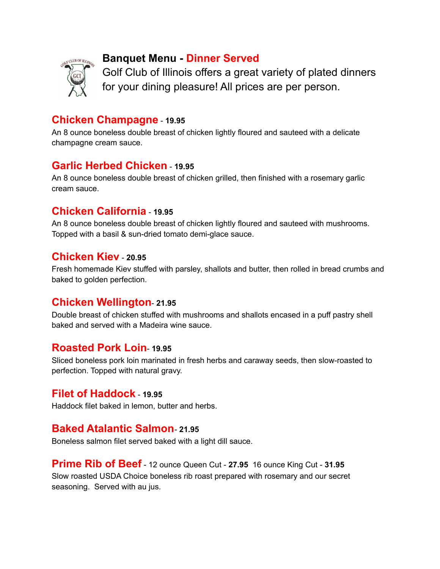

# **Banquet Menu - Dinner Served**

Golf Club of Illinois offers a great variety of plated dinners for your dining pleasure! All prices are per person.

### **Chicken Champagne** - **19.95**

An 8 ounce boneless double breast of chicken lightly floured and sauteed with a delicate champagne cream sauce.

## **Garlic Herbed Chicken** - **19.95**

An 8 ounce boneless double breast of chicken grilled, then finished with a rosemary garlic cream sauce.

## **Chicken California** - **19.95**

An 8 ounce boneless double breast of chicken lightly floured and sauteed with mushrooms. Topped with a basil & sun-dried tomato demi-glace sauce.

### **Chicken Kiev** - **20.95**

Fresh homemade Kiev stuffed with parsley, shallots and butter, then rolled in bread crumbs and baked to golden perfection.

### **Chicken Wellington**- **21.95**

Double breast of chicken stuffed with mushrooms and shallots encased in a puff pastry shell baked and served with a Madeira wine sauce.

### **Roasted Pork Loin**- **19.95**

Sliced boneless pork loin marinated in fresh herbs and caraway seeds, then slow-roasted to perfection. Topped with natural gravy.

### **Filet of Haddock** - **19.95**

Haddock filet baked in lemon, butter and herbs.

### **Baked Atalantic Salmon**- **21.95**

Boneless salmon filet served baked with a light dill sauce.

**Prime Rib of Beef** - 12 ounce Queen Cut - **27.95** 16 ounce King Cut - **31.95** Slow roasted USDA Choice boneless rib roast prepared with rosemary and our secret seasoning. Served with au jus.